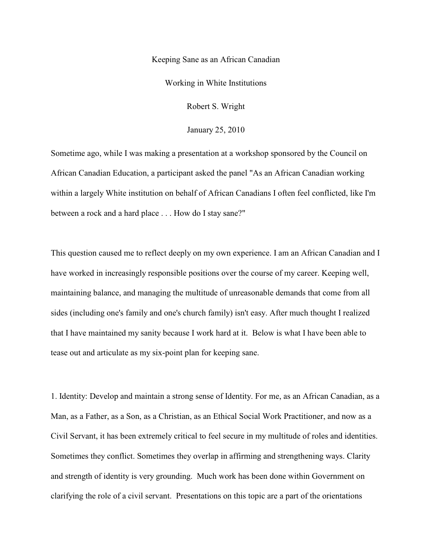## Keeping Sane as an African Canadian

Working in White Institutions

Robert S. Wright

January 25, 2010

Sometime ago, while I was making a presentation at a workshop sponsored by the Council on African Canadian Education, a participant asked the panel "As an African Canadian working within a largely White institution on behalf of African Canadians I often feel conflicted, like I'm between a rock and a hard place . . . How do I stay sane?"

This question caused me to reflect deeply on my own experience. I am an African Canadian and I have worked in increasingly responsible positions over the course of my career. Keeping well, maintaining balance, and managing the multitude of unreasonable demands that come from all sides (including one's family and one's church family) isn't easy. After much thought I realized that I have maintained my sanity because I work hard at it. Below is what I have been able to tease out and articulate as my six-point plan for keeping sane.

1. Identity: Develop and maintain a strong sense of Identity. For me, as an African Canadian, as a Man, as a Father, as a Son, as a Christian, as an Ethical Social Work Practitioner, and now as a Civil Servant, it has been extremely critical to feel secure in my multitude of roles and identities. Sometimes they conflict. Sometimes they overlap in affirming and strengthening ways. Clarity and strength of identity is very grounding. Much work has been done within Government on clarifying the role of a civil servant. Presentations on this topic are a part of the orientations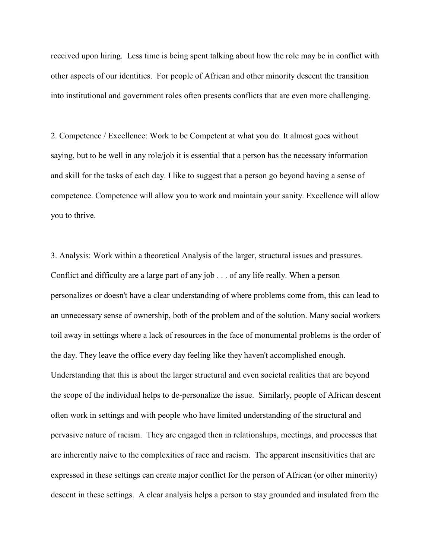received upon hiring. Less time is being spent talking about how the role may be in conflict with other aspects of our identities. For people of African and other minority descent the transition into institutional and government roles often presents conflicts that are even more challenging.

2. Competence / Excellence: Work to be Competent at what you do. It almost goes without saying, but to be well in any role/job it is essential that a person has the necessary information and skill for the tasks of each day. I like to suggest that a person go beyond having a sense of competence. Competence will allow you to work and maintain your sanity. Excellence will allow you to thrive.

3. Analysis: Work within a theoretical Analysis of the larger, structural issues and pressures. Conflict and difficulty are a large part of any job . . . of any life really. When a person personalizes or doesn't have a clear understanding of where problems come from, this can lead to an unnecessary sense of ownership, both of the problem and of the solution. Many social workers toil away in settings where a lack of resources in the face of monumental problems is the order of the day. They leave the office every day feeling like they haven't accomplished enough. Understanding that this is about the larger structural and even societal realities that are beyond the scope of the individual helps to de-personalize the issue. Similarly, people of African descent often work in settings and with people who have limited understanding of the structural and pervasive nature of racism. They are engaged then in relationships, meetings, and processes that are inherently naive to the complexities of race and racism. The apparent insensitivities that are expressed in these settings can create major conflict for the person of African (or other minority) descent in these settings. A clear analysis helps a person to stay grounded and insulated from the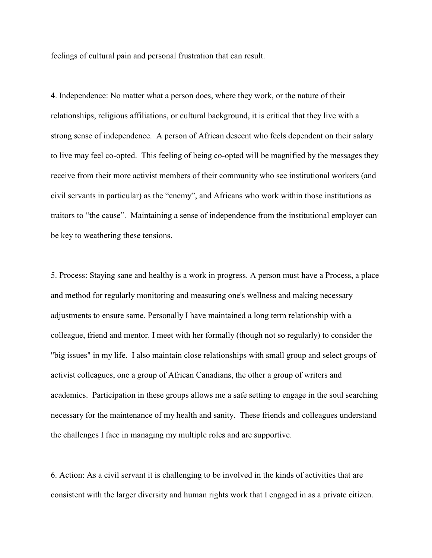feelings of cultural pain and personal frustration that can result.

4. Independence: No matter what a person does, where they work, or the nature of their relationships, religious affiliations, or cultural background, it is critical that they live with a strong sense of independence. A person of African descent who feels dependent on their salary to live may feel co-opted. This feeling of being co-opted will be magnified by the messages they receive from their more activist members of their community who see institutional workers (and civil servants in particular) as the "enemy", and Africans who work within those institutions as traitors to "the cause". Maintaining a sense of independence from the institutional employer can be key to weathering these tensions.

5. Process: Staying sane and healthy is a work in progress. A person must have a Process, a place and method for regularly monitoring and measuring one's wellness and making necessary adjustments to ensure same. Personally I have maintained a long term relationship with a colleague, friend and mentor. I meet with her formally (though not so regularly) to consider the "big issues" in my life. I also maintain close relationships with small group and select groups of activist colleagues, one a group of African Canadians, the other a group of writers and academics. Participation in these groups allows me a safe setting to engage in the soul searching necessary for the maintenance of my health and sanity. These friends and colleagues understand the challenges I face in managing my multiple roles and are supportive.

6. Action: As a civil servant it is challenging to be involved in the kinds of activities that are consistent with the larger diversity and human rights work that I engaged in as a private citizen.